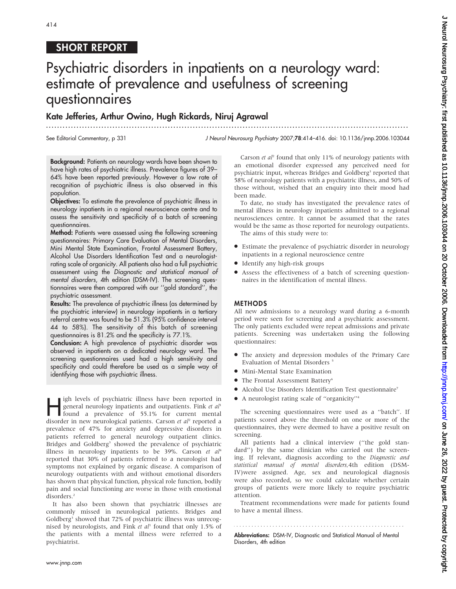# 414

## SHORT REPORT

# Psychiatric disorders in inpatients on a neurology ward: estimate of prevalence and usefulness of screening questionnaires

...................................................................................................................................

Kate Jefferies, Arthur Owino, Hugh Rickards, Niruj Agrawal

See Editorial Commentary, p 331

J Neurol Neurosurg Psychiatry 2007;78:414–416. doi: 10.1136/jnnp.2006.103044

Background: Patients on neurology wards have been shown to have high rates of psychiatric illness. Prevalence figures of 39– 64% have been reported previously. However a low rate of recognition of psychiatric illness is also observed in this population.

Objectives: To estimate the prevalence of psychiatric illness in neurology inpatients in a regional neuroscience centre and to assess the sensitivity and specificity of a batch of screening questionnaires.

Method: Patients were assessed using the following screening questionnaires: Primary Care Evaluation of Mental Disorders, Mini Mental State Examination, Frontal Assessment Battery, Alcohol Use Disorders Identification Test and a neurologistrating scale of organicity. All patients also had a full psychiatric assessment using the Diagnostic and statistical manual of mental disorders, 4th edition (DSM-IV). The screening questionnaires were then compared with our ''gold standard'', the psychiatric assessment.

Results: The prevalence of psychiatric illness (as determined by the psychiatric interview) in neurology inpatients in a tertiary referral centre was found to be 51.3% (95% confidence interval 44 to 58%). The sensitivity of this batch of screening questionnaires is 81.2% and the specificity is 77.1%.

Conclusion: A high prevalence of psychiatric disorder was observed in inpatients on a dedicated neurology ward. The screening questionnaires used had a high sensitivity and specificity and could therefore be used as a simple way of identifying those with psychiatric illness.

**Hence I** igh levels of psychiatric illness have been reported in general neurology inpatients and outpatients. Fink *et all* found a prevalence of 55.1% for current mental disorder in new neurological patients. Careen *et* general neurology inpatients and outpatients. Fink et al<sup>1</sup> disorder in new neurological patients. Carson et al<sup>2</sup> reported a prevalence of 47% for anxiety and depressive disorders in patients referred to general neurology outpatient clinics. Bridges and Goldberg<sup>3</sup> showed the prevalence of psychiatric illness in neurology inpatients to be 39%. Carson et  $al<sup>4</sup>$ reported that 30% of patients referred to a neurologist had symptoms not explained by organic disease. A comparison of neurology outpatients with and without emotional disorders has shown that physical function, physical role function, bodily pain and social functioning are worse in those with emotional disorders.2

It has also been shown that psychiatric illnesses are commonly missed in neurological patients. Bridges and Goldberg<sup>3</sup> showed that 72% of psychiatric illness was unrecognised by neurologists, and Fink et  $al<sup>1</sup>$  found that only 1.5% of the patients with a mental illness were referred to a psychiatrist.

Carson et  $al^2$  found that only 11% of neurology patients with an emotional disorder expressed any perceived need for psychiatric input, whereas Bridges and Goldberg<sup>3</sup> reported that 58% of neurology patients with a psychiatric illness, and 50% of those without, wished that an enquiry into their mood had been made.

To date, no study has investigated the prevalence rates of mental illness in neurology inpatients admitted to a regional neurosciences centre. It cannot be assumed that the rates would be the same as those reported for neurology outpatients.

The aims of this study were to:

- N Estimate the prevalence of psychiatric disorder in neurology inpatients in a regional neuroscience centre
- Identify any high-risk groups
- N Assess the effectiveness of a batch of screening questionnaires in the identification of mental illness.

#### METHODS

All new admissions to a neurology ward during a 6-month period were seen for screening and a psychiatric assessment. The only patients excluded were repeat admissions and private patients. Screening was undertaken using the following questionnaires:

- The anxiety and depression modules of the Primary Care Evaluation of Mental Disorders <sup>5</sup>
- $\bullet$  Mini-Mental State Examination
- The Frontal Assessment Battery<sup>6</sup>
- $\bullet$  Alcohol Use Disorders Identification Test questionnaire<sup>7</sup>
- A neurologist rating scale of "organicity"<sup>4</sup>

The screening questionnaires were used as a ''batch''. If patients scored above the threshold on one or more of the questionnaires, they were deemed to have a positive result on screening.

All patients had a clinical interview (''the gold standard'') by the same clinician who carried out the screening. If relevant, diagnosis according to the Diagnostic and statistical manual of mental disorders,4th edition (DSM-IV)were assigned. Age, sex and neurological diagnosis were also recorded, so we could calculate whether certain groups of patients were more likely to require psychiatric attention.

Treatment recommendations were made for patients found to have a mental illness.

Abbreviations: DSM-IV, Diagnostic and Statistical Manual of Mental Disorders, 4th edition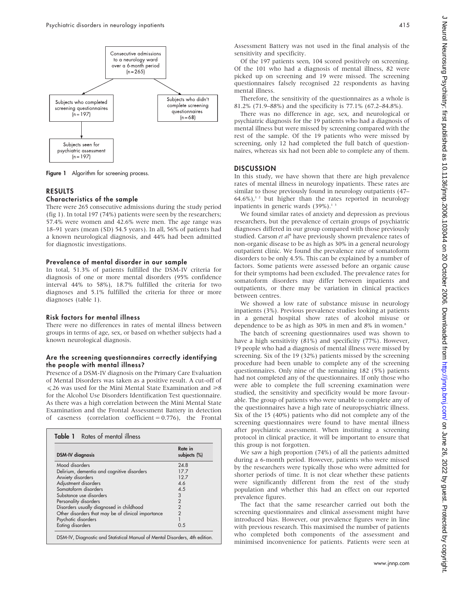

Figure 1 Algorithm for screening process.

### RESULTS

#### Characteristics of the sample

There were 265 consecutive admissions during the study period (fig 1). In total 197 (74%) patients were seen by the researchers; 57.4% were women and 42.6% were men. The age range was 18–91 years (mean (SD) 54.5 years). In all, 56% of patients had a known neurological diagnosis, and 44% had been admitted for diagnostic investigations.

#### Prevalence of mental disorder in our sample

In total, 51.3% of patients fulfilled the DSM-IV criteria for diagnosis of one or more mental disorders (95% confidence interval 44% to 58%), 18.7% fulfilled the criteria for two diagnoses and 5.1% fulfilled the criteria for three or more diagnoses (table 1).

#### Risk factors for mental illness

There were no differences in rates of mental illness between groups in terms of age, sex, or based on whether subjects had a known neurological diagnosis.

#### Are the screening questionnaires correctly identifying the people with mental illness?

Presence of a DSM-IV diagnosis on the Primary Care Evaluation of Mental Disorders was taken as a positive result. A cut-off of  $\leq$  26 was used for the Mini Mental State Examination and  $\geq$ 8 for the Alcohol Use Disorders Identification Test questionnaire. As there was a high correlation between the Mini Mental State Examination and the Frontal Assessment Battery in detection of caseness (correlation coefficient  $= 0.776$ ), the Frontal

| <b>DSM-IV</b> diagnosis                            | Rate in<br>subjects (%) |
|----------------------------------------------------|-------------------------|
| Mood disorders                                     | 24.8                    |
| Delirium, dementia and cognitive disorders         | 17.7                    |
| Anxiety disorders                                  | 12.7                    |
| Adjustment disorders                               | 4.6                     |
| Somatoform disorders                               | 4.5                     |
| Substance use disorders                            | 3                       |
| Personality disorders                              | $\overline{2}$          |
| Disorders usually diagnosed in childhood           | $\overline{2}$          |
| Other disorders that may be of clinical importance | $\overline{2}$          |
| Psychotic disorders                                | $\overline{1}$          |
| Eating disorders                                   | 0.5                     |

Assessment Battery was not used in the final analysis of the sensitivity and specificity.

Of the 197 patients seen, 104 scored positively on screening. Of the 101 who had a diagnosis of mental illness, 82 were picked up on screening and 19 were missed. The screening questionnaires falsely recognised 22 respondents as having mental illness.

Therefore, the sensitivity of the questionnaires as a whole is 81.2% (71.9–88%) and the specificity is 77.1% (67.2–84.8%).

There was no difference in age, sex, and neurological or psychiatric diagnosis for the 19 patients who had a diagnosis of mental illness but were missed by screening compared with the rest of the sample. Of the 19 patients who were missed by screening, only 12 had completed the full batch of questionnaires, whereas six had not been able to complete any of them.

#### **DISCUSSION**

In this study, we have shown that there are high prevalence rates of mental illness in neurology inpatients. These rates are similar to those previously found in neurology outpatients (47–  $64.6\%$ ),<sup>12</sup> but higher than the rates reported in neurology inpatients in generic wards  $(39\%)$ .<sup>13</sup>

We found similar rates of anxiety and depression as previous researchers, but the prevalence of certain groups of psychiatric diagnoses differed in our group compared with those previously studied. Carson et al<sup>4</sup> have previously shown prevalence rates of non-organic disease to be as high as 30% in a general neurology outpatient clinic. We found the prevalence rate of somatoform disorders to be only 4.5%. This can be explained by a number of factors. Some patients were assessed before an organic cause for their symptoms had been excluded. The prevalence rates for somatoform disorders may differ between inpatients and outpatients, or there may be variation in clinical practices between centres.

We showed a low rate of substance misuse in neurology inpatients (3%). Previous prevalence studies looking at patients in a general hospital show rates of alcohol misuse or dependence to be as high as 30% in men and 8% in women.<sup>8</sup>

The batch of screening questionnaires used was shown to have a high sensitivity (81%) and specificity (77%). However, 19 people who had a diagnosis of mental illness were missed by screening. Six of the 19 (32%) patients missed by the screening procedure had been unable to complete any of the screening questionnaires. Only nine of the remaining 182 (5%) patients had not completed any of the questionnaires. If only those who were able to complete the full screening examination were studied, the sensitivity and specificity would be more favourable. The group of patients who were unable to complete any of the questionnaires have a high rate of neuropsychiatric illness. Six of the 15 (40%) patients who did not complete any of the screening questionnaires were found to have mental illness after psychiatric assessment. When instituting a screening protocol in clinical practice, it will be important to ensure that this group is not forgotten.

We saw a high proportion (74%) of all the patients admitted during a 6-month period. However, patients who were missed by the researchers were typically those who were admitted for shorter periods of time. It is not clear whether these patients were significantly different from the rest of the study population and whether this had an effect on our reported prevalence figures.

The fact that the same researcher carried out both the screening questionnaires and clinical assessment might have introduced bias. However, our prevalence figures were in line with previous research. This maximised the number of patients who completed both components of the assessment and minimised inconvenience for patients. Patients were seen at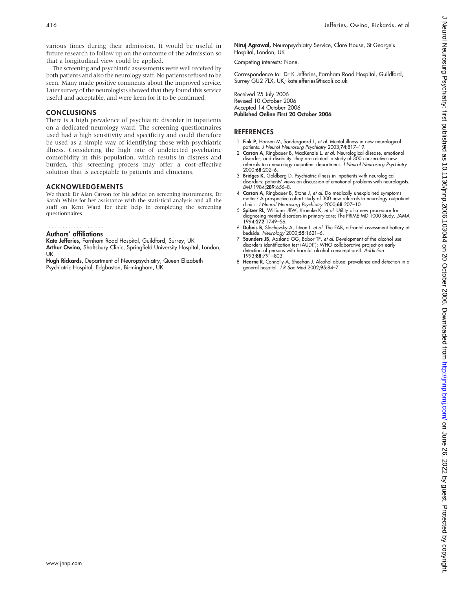various times during their admission. It would be useful in future research to follow up on the outcome of the admission so that a longitudinal view could be applied.

The screening and psychiatric assessments were well received by both patients and also the neurology staff. No patients refused to be seen. Many made positive comments about the improved service. Later survey of the neurologists showed that they found this service useful and acceptable, and were keen for it to be continued.

#### CONCLUSIONS

There is a high prevalence of psychiatric disorder in inpatients on a dedicated neurology ward. The screening questionnaires used had a high sensitivity and specificity and could therefore be used as a simple way of identifying those with psychiatric illness. Considering the high rate of undetected psychiatric comorbidity in this population, which results in distress and burden, this screening process may offer a cost-effective solution that is acceptable to patients and clinicians.

#### ACKNOWLEDGEMENTS

We thank Dr Alan Carson for his advice on screening instruments, Dr Sarah White for her assistance with the statistical analysis and all the staff on Kent Ward for their help in completing the screening questionnaires.

.......................

Authors' affiliations

Kate Jefferies, Farnham Road Hospital, Guildford, Surrey, UK Arthur Owino, Shaftsbury Clinic, Springfield University Hospital, London, UK

Hugh Rickards, Department of Neuropsychiatry, Queen Elizabeth Psychiatric Hospital, Edgbaston, Birmingham, UK

Niruj Agrawal, Neuropsychiatry Service, Clare House, St George's Hospital, London, UK

Competing interests: None.

Correspondence to: Dr K Jefferies, Farnham Road Hospital, Guildford, Surrey GU2 7LX, UK; katejefferies@tiscali.co.uk

Received 25 July 2006 Revised 10 October 2006 Accepted 14 October 2006 Published Online First 20 October 2006

#### **REFERENCES**

- 1 Fink P, Hansen M, Sondergaard L, et al. Mental illness in new neurological
- patients. *J Neurol Neurosurg Psychiatry* 2003;**74**:817–19.<br>2 **Carson A**, Ringbauer B, MacKenzie L, *et al.* Neurological disease, emotional disorder, and disability: they are related: a study of 300 consecutive new referrals to a neurology outpatient department. J Neurol Neurosurg Psychiatry 2000;68:202–6.
- 3 Bridges K, Goldberg D. Psychiatric illness in inpatients with neurological disorders: patients' views on discussion of emotional problems with neurologists. BMJ 1984;289:656–8.
- 4 Carson A, Ringbauer B, Stone J, et al. Do medically unexplained symptoms matter? A prospective cohort study of 300 new referrals to neurology outpatient clinics. J Neurol Neurosurg Psychiatry 2000;68:207–10.
- 5 **Spitzer RL**, Williams JBW, Kroenke K, et al. Utility of a new procedure for diagnosing mental disorders in primary care; The PRIME-MD 1000 Study. JAMA 1994;272:1749-56.
- 6 Dubois B, Slachevsky A, Litvan I, et al. The FAB, a frontal assessment battery at bedside. Neurology 2000;55:1621–6.
- 7 Saunders JB, Aasland OG, Babor TF, et al. Development of the alcohol use disorders identification test (AUDIT): WHO collaborative project on early detection of persons with harmful alcohol consumption-II. Addiction 1993;88:791–803.
- 8 Hearne R, Connolly A, Sheehan J. Alcohol abuse: prevalence and detection in a general hospital. J R Soc Med 2002;95:84–7.